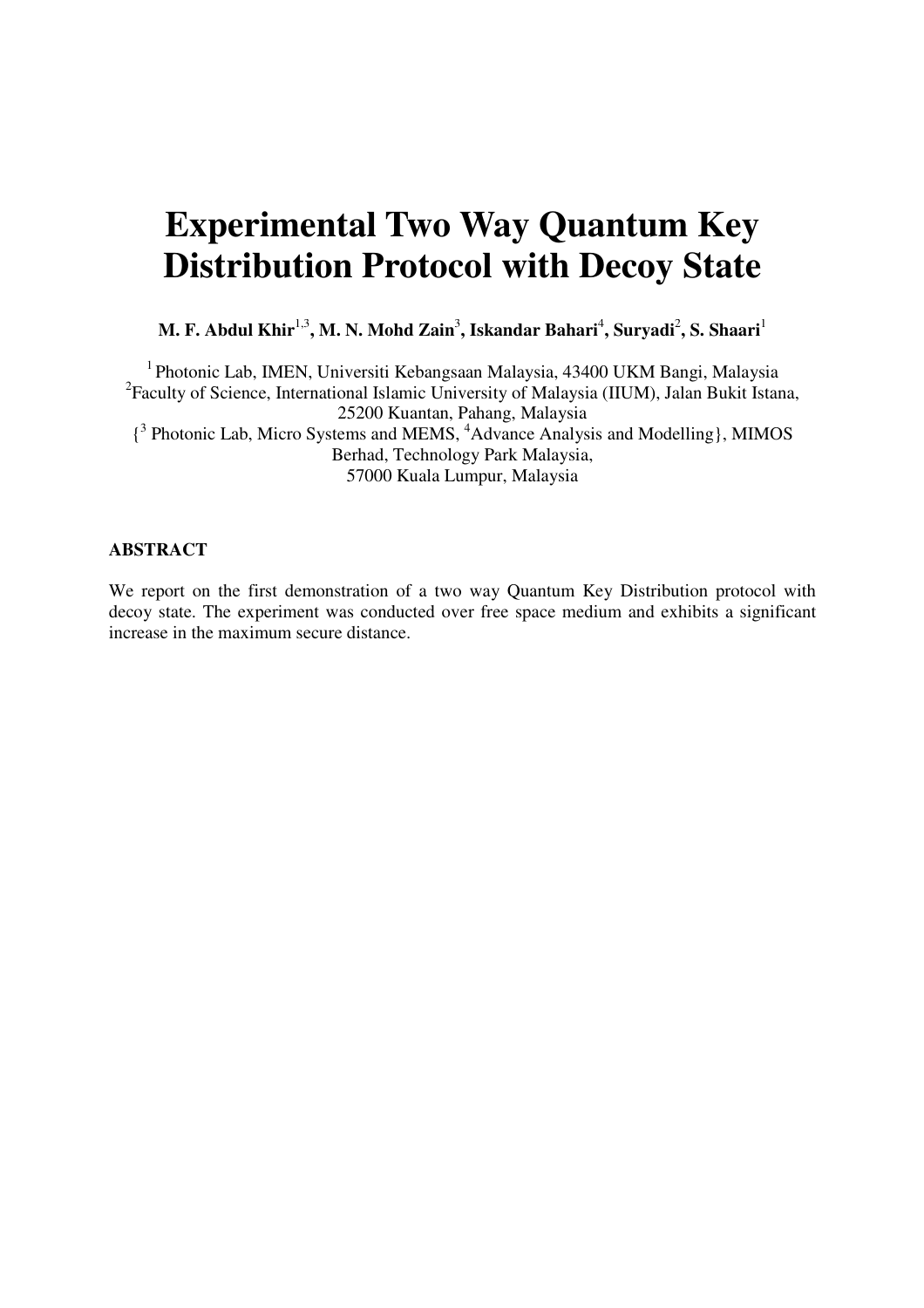# **Experimental Two Way Quantum Key Distribution Protocol with Decoy State**

M. F. Abdul Khir<sup>1,3</sup>, M. N. Mohd Zain<sup>3</sup>, Iskandar Bahari<sup>4</sup>, Suryadi<sup>2</sup>, S. Shaari<sup>1</sup>

<sup>1</sup>Photonic Lab, IMEN, Universiti Kebangsaan Malaysia, 43400 UKM Bangi, Malaysia <sup>2</sup> Faculty of Science, International Islamic University of Malaysia (IIUM), Jalan Bukit Istana, 25200 Kuantan, Pahang, Malaysia { 3 Photonic Lab, Micro Systems and MEMS, <sup>4</sup>Advance Analysis and Modelling}, MIMOS Berhad, Technology Park Malaysia, 57000 Kuala Lumpur, Malaysia

#### **ABSTRACT**

We report on the first demonstration of a two way Quantum Key Distribution protocol with decoy state. The experiment was conducted over free space medium and exhibits a significant increase in the maximum secure distance.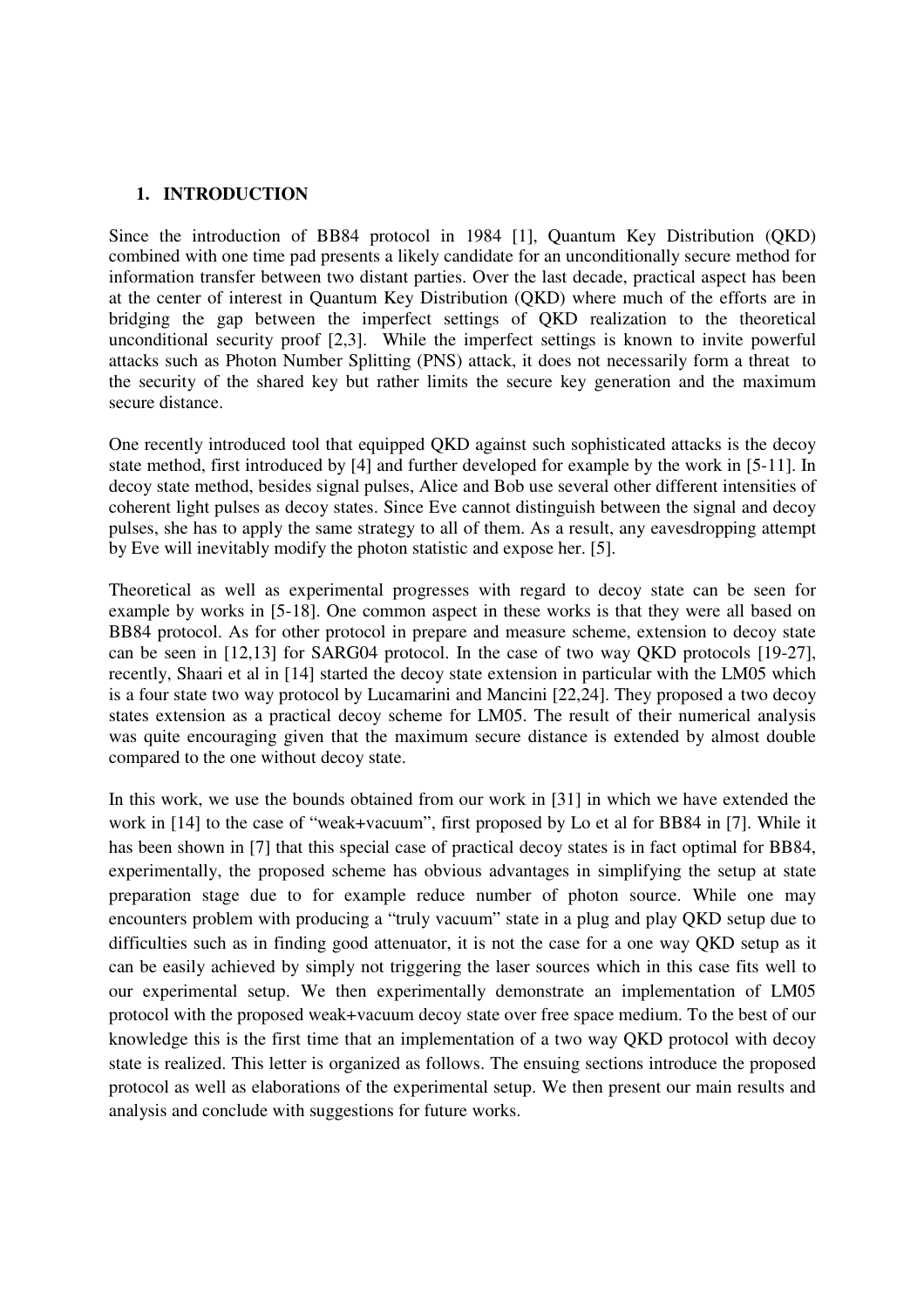## **1. INTRODUCTION**

Since the introduction of BB84 protocol in 1984 [1], Quantum Key Distribution (QKD) combined with one time pad presents a likely candidate for an unconditionally secure method for information transfer between two distant parties. Over the last decade, practical aspect has been at the center of interest in Quantum Key Distribution (QKD) where much of the efforts are in bridging the gap between the imperfect settings of QKD realization to the theoretical unconditional security proof [2,3]. While the imperfect settings is known to invite powerful attacks such as Photon Number Splitting (PNS) attack, it does not necessarily form a threat to the security of the shared key but rather limits the secure key generation and the maximum secure distance.

One recently introduced tool that equipped QKD against such sophisticated attacks is the decoy state method, first introduced by [4] and further developed for example by the work in [5-11]. In decoy state method, besides signal pulses, Alice and Bob use several other different intensities of coherent light pulses as decoy states. Since Eve cannot distinguish between the signal and decoy pulses, she has to apply the same strategy to all of them. As a result, any eavesdropping attempt by Eve will inevitably modify the photon statistic and expose her. [5].

Theoretical as well as experimental progresses with regard to decoy state can be seen for example by works in [5-18]. One common aspect in these works is that they were all based on BB84 protocol. As for other protocol in prepare and measure scheme, extension to decoy state can be seen in [12,13] for SARG04 protocol. In the case of two way QKD protocols [19-27], recently, Shaari et al in [14] started the decoy state extension in particular with the LM05 which is a four state two way protocol by Lucamarini and Mancini [22,24]. They proposed a two decoy states extension as a practical decoy scheme for LM05. The result of their numerical analysis was quite encouraging given that the maximum secure distance is extended by almost double compared to the one without decoy state.

In this work, we use the bounds obtained from our work in [31] in which we have extended the work in [14] to the case of "weak+vacuum", first proposed by Lo et al for BB84 in [7]. While it has been shown in [7] that this special case of practical decoy states is in fact optimal for BB84, experimentally, the proposed scheme has obvious advantages in simplifying the setup at state preparation stage due to for example reduce number of photon source. While one may encounters problem with producing a "truly vacuum" state in a plug and play QKD setup due to difficulties such as in finding good attenuator, it is not the case for a one way QKD setup as it can be easily achieved by simply not triggering the laser sources which in this case fits well to our experimental setup. We then experimentally demonstrate an implementation of LM05 protocol with the proposed weak+vacuum decoy state over free space medium. To the best of our knowledge this is the first time that an implementation of a two way QKD protocol with decoy state is realized. This letter is organized as follows. The ensuing sections introduce the proposed protocol as well as elaborations of the experimental setup. We then present our main results and analysis and conclude with suggestions for future works.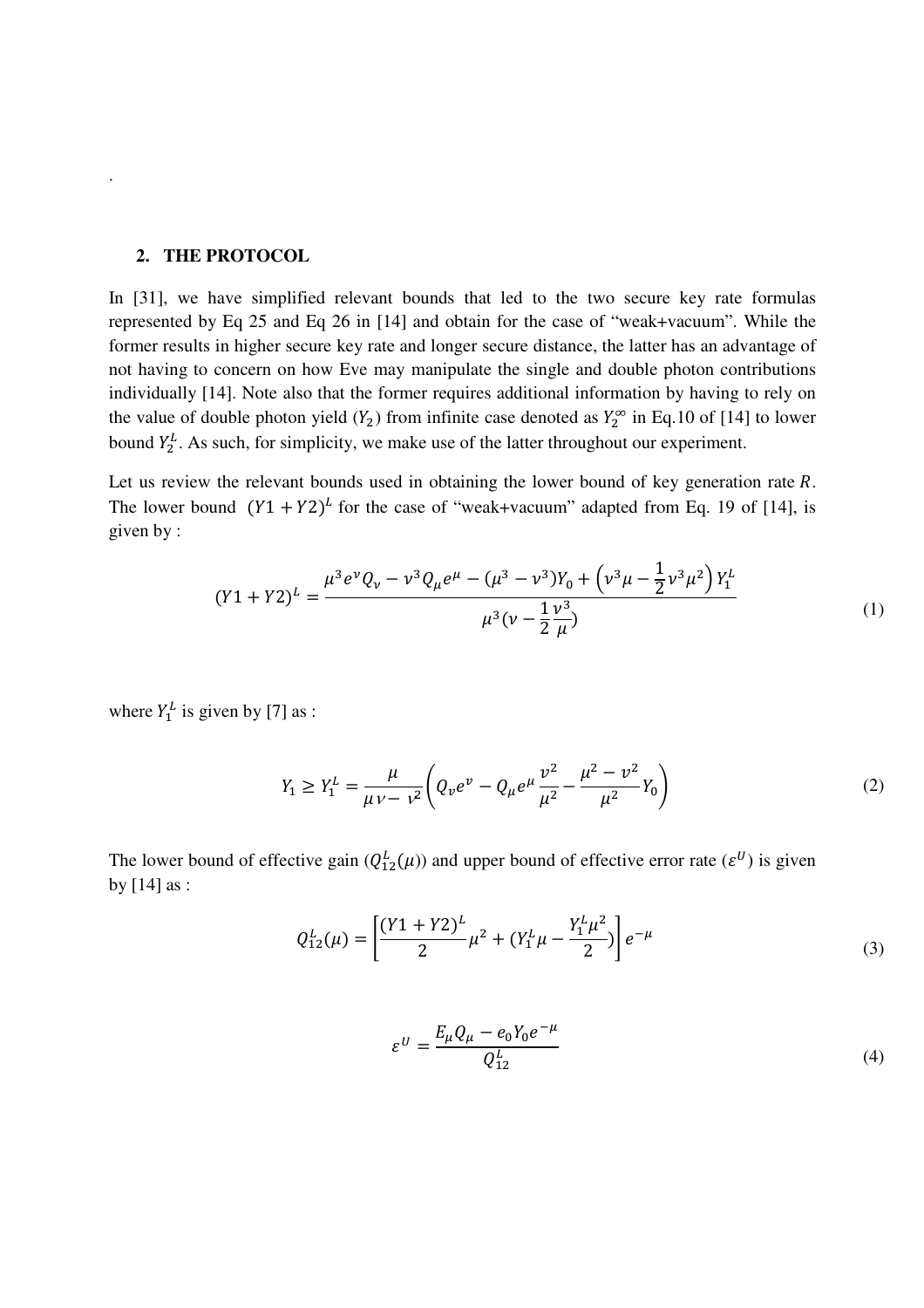## **2. THE PROTOCOL**

.

In [31], we have simplified relevant bounds that led to the two secure key rate formulas represented by Eq 25 and Eq 26 in [14] and obtain for the case of "weak+vacuum". While the former results in higher secure key rate and longer secure distance, the latter has an advantage of not having to concern on how Eve may manipulate the single and double photon contributions individually [14]. Note also that the former requires additional information by having to rely on the value of double photon yield  $(Y_2)$  from infinite case denoted as  $Y_2^{\infty}$  in Eq.10 of [14] to lower bound  $Y_2^L$ . As such, for simplicity, we make use of the latter throughout our experiment.

Let us review the relevant bounds used in obtaining the lower bound of key generation rate  $R$ . The lower bound  $(Y1 + Y2)^L$  for the case of "weak+vacuum" adapted from Eq. 19 of [14], is given by :

$$
(Y1 + Y2)^{L} = \frac{\mu^{3} e^{\nu} Q_{\nu} - \nu^{3} Q_{\mu} e^{\mu} - (\mu^{3} - \nu^{3}) Y_{0} + (\nu^{3} \mu - \frac{1}{2} \nu^{3} \mu^{2}) Y_{1}^{L}}{\mu^{3} (\nu - \frac{1}{2} \frac{\nu^{3}}{\mu})}
$$
(1)

where  $Y_1^L$  is given by [7] as :

$$
Y_1 \ge Y_1^L = \frac{\mu}{\mu v - v^2} \left( Q_v e^v - Q_\mu e^\mu \frac{v^2}{\mu^2} - \frac{\mu^2 - v^2}{\mu^2} Y_0 \right) \tag{2}
$$

The lower bound of effective gain  $(Q_{12}^L(\mu))$  and upper bound of effective error rate  $(\varepsilon^U)$  is given by [14] as :

$$
Q_{12}^L(\mu) = \left[ \frac{(Y_1 + Y_2)^L}{2} \mu^2 + (Y_1^L \mu - \frac{Y_1^L \mu^2}{2}) \right] e^{-\mu}
$$
 (3)

$$
\varepsilon^{U} = \frac{E_{\mu}Q_{\mu} - e_0 Y_0 e^{-\mu}}{Q_{12}^{L}}
$$
 (4)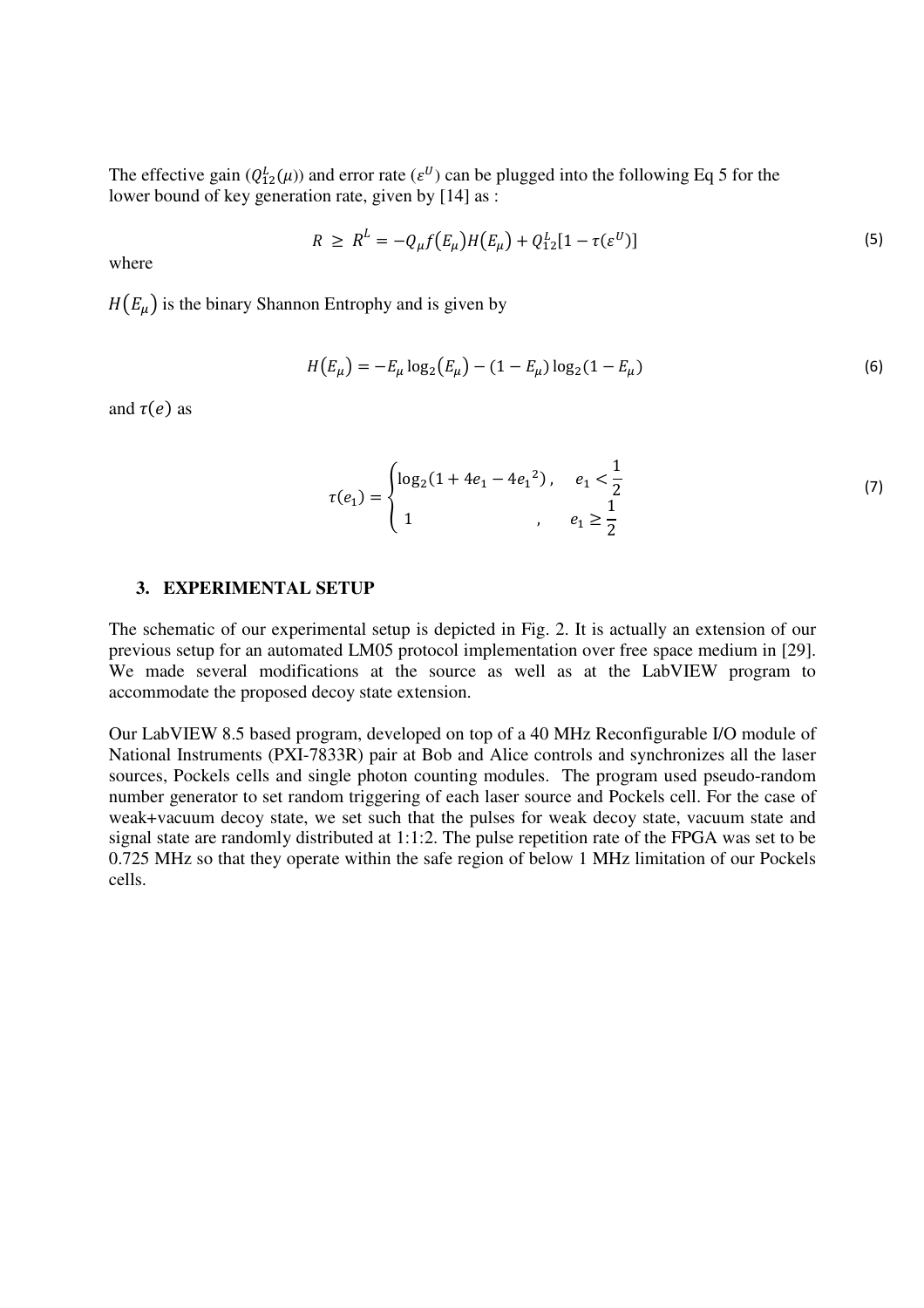The effective gain  $(Q_{12}^L(\mu))$  and error rate  $(\varepsilon^U)$  can be plugged into the following Eq 5 for the lower bound of key generation rate, given by [14] as :

$$
R \ge R^L = -Q_{\mu}f(E_{\mu})H(E_{\mu}) + Q_{12}^L[1 - \tau(\varepsilon^U)] \tag{5}
$$

where

 $H(E_{\mu})$  is the binary Shannon Entrophy and is given by

$$
H(E_{\mu}) = -E_{\mu} \log_2(E_{\mu}) - (1 - E_{\mu}) \log_2(1 - E_{\mu})
$$
\n(6)

and  $\tau(e)$  as

$$
\tau(e_1) = \begin{cases} \log_2(1 + 4e_1 - 4e_1^2), & e_1 < \frac{1}{2} \\ 1 & , e_1 \ge \frac{1}{2} \end{cases}
$$
(7)

## **3. EXPERIMENTAL SETUP**

The schematic of our experimental setup is depicted in Fig. 2. It is actually an extension of our previous setup for an automated LM05 protocol implementation over free space medium in [29]. We made several modifications at the source as well as at the LabVIEW program to accommodate the proposed decoy state extension.

Our LabVIEW 8.5 based program, developed on top of a 40 MHz Reconfigurable I/O module of National Instruments (PXI-7833R) pair at Bob and Alice controls and synchronizes all the laser sources, Pockels cells and single photon counting modules. The program used pseudo-random number generator to set random triggering of each laser source and Pockels cell. For the case of weak+vacuum decoy state, we set such that the pulses for weak decoy state, vacuum state and signal state are randomly distributed at 1:1:2. The pulse repetition rate of the FPGA was set to be 0.725 MHz so that they operate within the safe region of below 1 MHz limitation of our Pockels cells.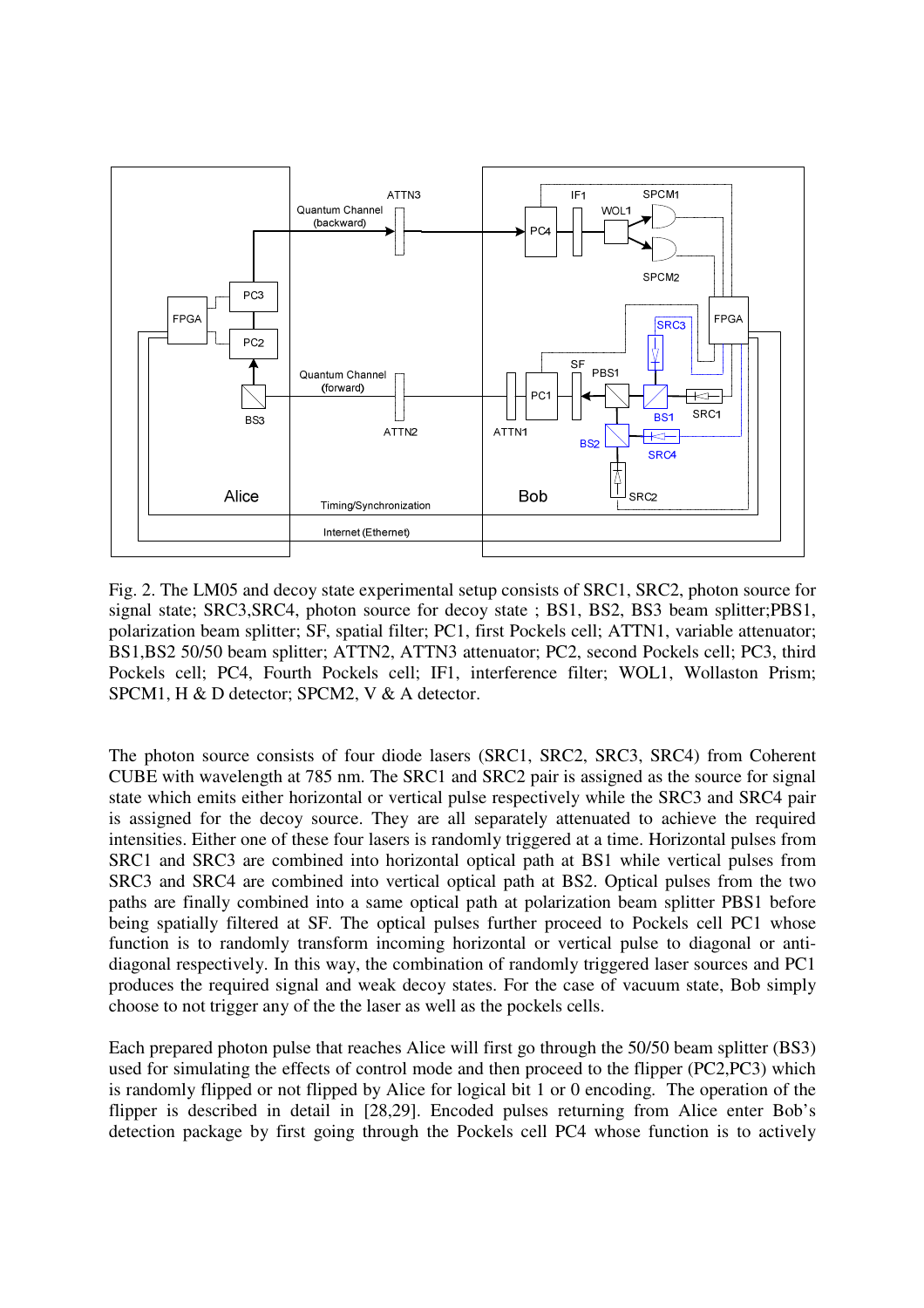

Fig. 2. The LM05 and decoy state experimental setup consists of SRC1, SRC2, photon source for signal state; SRC3,SRC4, photon source for decoy state ; BS1, BS2, BS3 beam splitter;PBS1, polarization beam splitter; SF, spatial filter; PC1, first Pockels cell; ATTN1, variable attenuator; BS1,BS2 50/50 beam splitter; ATTN2, ATTN3 attenuator; PC2, second Pockels cell; PC3, third Pockels cell; PC4, Fourth Pockels cell; IF1, interference filter; WOL1, Wollaston Prism; SPCM1, H & D detector; SPCM2, V & A detector.

The photon source consists of four diode lasers (SRC1, SRC2, SRC3, SRC4) from Coherent CUBE with wavelength at 785 nm. The SRC1 and SRC2 pair is assigned as the source for signal state which emits either horizontal or vertical pulse respectively while the SRC3 and SRC4 pair is assigned for the decoy source. They are all separately attenuated to achieve the required intensities. Either one of these four lasers is randomly triggered at a time. Horizontal pulses from SRC1 and SRC3 are combined into horizontal optical path at BS1 while vertical pulses from SRC3 and SRC4 are combined into vertical optical path at BS2. Optical pulses from the two paths are finally combined into a same optical path at polarization beam splitter PBS1 before being spatially filtered at SF. The optical pulses further proceed to Pockels cell PC1 whose function is to randomly transform incoming horizontal or vertical pulse to diagonal or antidiagonal respectively. In this way, the combination of randomly triggered laser sources and PC1 produces the required signal and weak decoy states. For the case of vacuum state, Bob simply choose to not trigger any of the the laser as well as the pockels cells.

Each prepared photon pulse that reaches Alice will first go through the 50/50 beam splitter (BS3) used for simulating the effects of control mode and then proceed to the flipper (PC2,PC3) which is randomly flipped or not flipped by Alice for logical bit 1 or 0 encoding. The operation of the flipper is described in detail in [28,29]. Encoded pulses returning from Alice enter Bob's detection package by first going through the Pockels cell PC4 whose function is to actively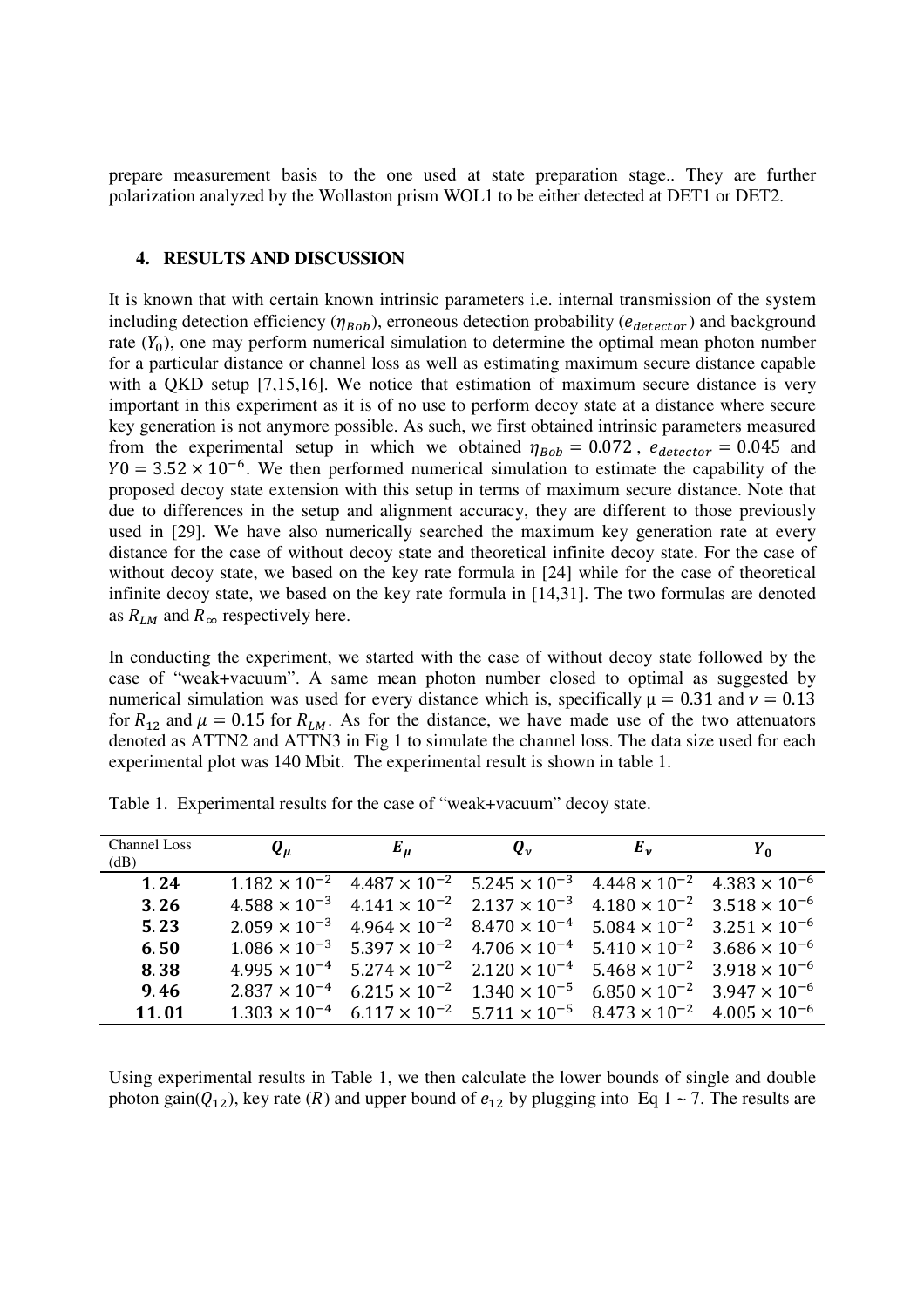prepare measurement basis to the one used at state preparation stage.. They are further polarization analyzed by the Wollaston prism WOL1 to be either detected at DET1 or DET2.

#### **4. RESULTS AND DISCUSSION**

It is known that with certain known intrinsic parameters i.e. internal transmission of the system including detection efficiency ( $\eta_{Bob}$ ), erroneous detection probability ( $e_{detector}$ ) and background rate  $(Y_0)$ , one may perform numerical simulation to determine the optimal mean photon number for a particular distance or channel loss as well as estimating maximum secure distance capable with a QKD setup [7,15,16]. We notice that estimation of maximum secure distance is very important in this experiment as it is of no use to perform decoy state at a distance where secure key generation is not anymore possible. As such, we first obtained intrinsic parameters measured from the experimental setup in which we obtained  $\eta_{Bob} = 0.072$ ,  $e_{detector} = 0.045$  and  $Y0 = 3.52 \times 10^{-6}$ . We then performed numerical simulation to estimate the capability of the proposed decoy state extension with this setup in terms of maximum secure distance. Note that due to differences in the setup and alignment accuracy, they are different to those previously used in [29]. We have also numerically searched the maximum key generation rate at every distance for the case of without decoy state and theoretical infinite decoy state. For the case of without decoy state, we based on the key rate formula in [24] while for the case of theoretical infinite decoy state, we based on the key rate formula in [14,31]. The two formulas are denoted as  $R_{LM}$  and  $R_{\infty}$  respectively here.

In conducting the experiment, we started with the case of without decoy state followed by the case of "weak+vacuum". A same mean photon number closed to optimal as suggested by numerical simulation was used for every distance which is, specifically  $\mu = 0.31$  and  $\nu = 0.13$ for  $R_{12}$  and  $\mu = 0.15$  for  $R_{LM}$ . As for the distance, we have made use of the two attenuators denoted as ATTN2 and ATTN3 in Fig 1 to simulate the channel loss. The data size used for each experimental plot was 140 Mbit. The experimental result is shown in table 1.

| <b>Channel Loss</b><br>(dB) | $Q_{\mu}$              | $E_{\mu}$                                                                                                          | $Q_{\nu}$ | $E_v$                                         | $Y_0$                  |
|-----------------------------|------------------------|--------------------------------------------------------------------------------------------------------------------|-----------|-----------------------------------------------|------------------------|
| 1.24                        |                        | $1.182 \times 10^{-2}$ $4.487 \times 10^{-2}$ $5.245 \times 10^{-3}$                                               |           | $4.448 \times 10^{-2}$ $4.383 \times 10^{-6}$ |                        |
| 3.26                        |                        | $4.588 \times 10^{-3}$ $4.141 \times 10^{-2}$ $2.137 \times 10^{-3}$                                               |           | $4.180 \times 10^{-2}$ $3.518 \times 10^{-6}$ |                        |
| 5.23                        |                        | $2.059 \times 10^{-3}$ $4.964 \times 10^{-2}$ $8.470 \times 10^{-4}$                                               |           | $5.084 \times 10^{-2}$ $3.251 \times 10^{-6}$ |                        |
| 6.50                        |                        | $1.086 \times 10^{-3}$ 5.397 $\times 10^{-2}$ 4.706 $\times 10^{-4}$                                               |           | $5.410 \times 10^{-2}$ 3.686 $\times 10^{-6}$ |                        |
| 8.38                        |                        | $4.995 \times 10^{-4}$ 5.274 $\times 10^{-2}$ 2.120 $\times 10^{-4}$                                               |           | $5.468 \times 10^{-2}$ $3.918 \times 10^{-6}$ |                        |
| 9.46                        | $2.837 \times 10^{-4}$ | $6.215 \times 10^{-2}$ $1.340 \times 10^{-5}$                                                                      |           | $6.850 \times 10^{-2}$                        | $3.947 \times 10^{-6}$ |
| 11.01                       |                        | $1.303 \times 10^{-4}$ 6.117 $\times 10^{-2}$ 5.711 $\times 10^{-5}$ 8.473 $\times 10^{-2}$ 4.005 $\times 10^{-6}$ |           |                                               |                        |

Table 1. Experimental results for the case of "weak+vacuum" decoy state.

Using experimental results in Table 1, we then calculate the lower bounds of single and double photon gain( $Q_{12}$ ), key rate (R) and upper bound of  $e_{12}$  by plugging into Eq 1 ~ 7. The results are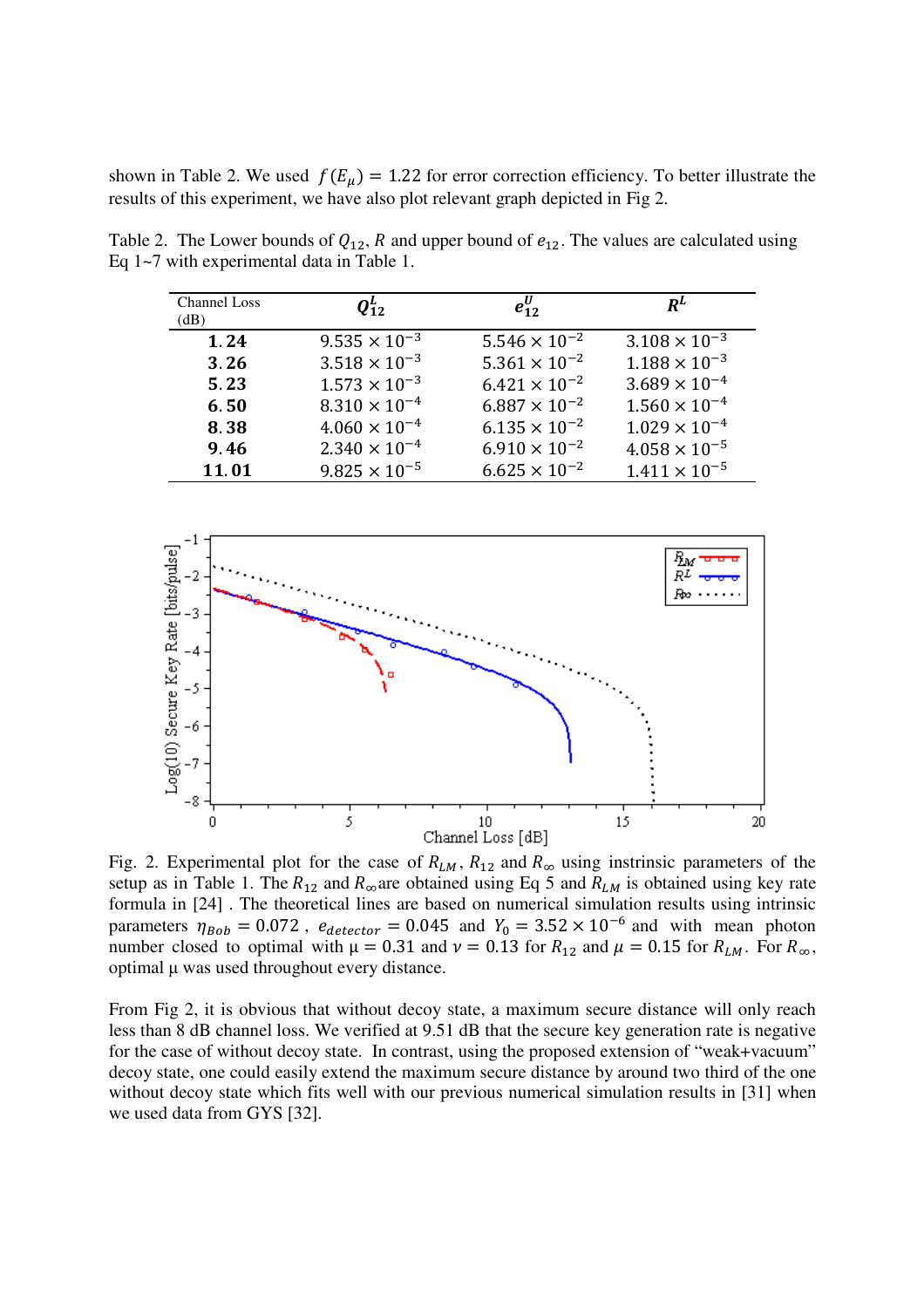shown in Table 2. We used  $f(E_{\mu}) = 1.22$  for error correction efficiency. To better illustrate the results of this experiment, we have also plot relevant graph depicted in Fig 2.

| <b>Channel Loss</b><br>(dB) | $\boldsymbol{Q^L_{12}}$ | $e_{12}^{\prime\prime}$ | $R^L$                  |
|-----------------------------|-------------------------|-------------------------|------------------------|
| 1.24                        | $9.535 \times 10^{-3}$  | $5.546 \times 10^{-2}$  | $3.108 \times 10^{-3}$ |
| 3.26                        | $3.518 \times 10^{-3}$  | $5.361 \times 10^{-2}$  | $1.188 \times 10^{-3}$ |
| 5.23                        | $1.573 \times 10^{-3}$  | $6.421 \times 10^{-2}$  | $3.689 \times 10^{-4}$ |
| 6.50                        | $8.310 \times 10^{-4}$  | $6.887 \times 10^{-2}$  | $1.560 \times 10^{-4}$ |
| 8.38                        | $4.060 \times 10^{-4}$  | $6.135 \times 10^{-2}$  | $1.029 \times 10^{-4}$ |
| 9.46                        | $2.340 \times 10^{-4}$  | $6.910 \times 10^{-2}$  | $4.058 \times 10^{-5}$ |
| 11.01                       | $9.825 \times 10^{-5}$  | $6.625 \times 10^{-2}$  | $1.411 \times 10^{-5}$ |

Table 2. The Lower bounds of  $Q_{12}$ , R and upper bound of  $e_{12}$ . The values are calculated using Eq 1~7 with experimental data in Table 1.



Fig. 2. Experimental plot for the case of  $R_{LM}$ ,  $R_{12}$  and  $R_{\infty}$  using instrinsic parameters of the setup as in Table 1. The  $R_{12}$  and  $R_{\infty}$  are obtained using Eq 5 and  $R_{LM}$  is obtained using key rate formula in [24] . The theoretical lines are based on numerical simulation results using intrinsic parameters  $\eta_{Bob} = 0.072$ ,  $e_{detector} = 0.045$  and  $Y_0 = 3.52 \times 10^{-6}$  and with mean photon number closed to optimal with  $\mu = 0.31$  and  $\nu = 0.13$  for  $R_{12}$  and  $\mu = 0.15$  for  $R_{LM}$ . For  $R_{\infty}$ , optimal µ was used throughout every distance.

From Fig 2, it is obvious that without decoy state, a maximum secure distance will only reach less than 8 dB channel loss. We verified at 9.51 dB that the secure key generation rate is negative for the case of without decoy state. In contrast, using the proposed extension of "weak+vacuum" decoy state, one could easily extend the maximum secure distance by around two third of the one without decoy state which fits well with our previous numerical simulation results in [31] when we used data from GYS [32].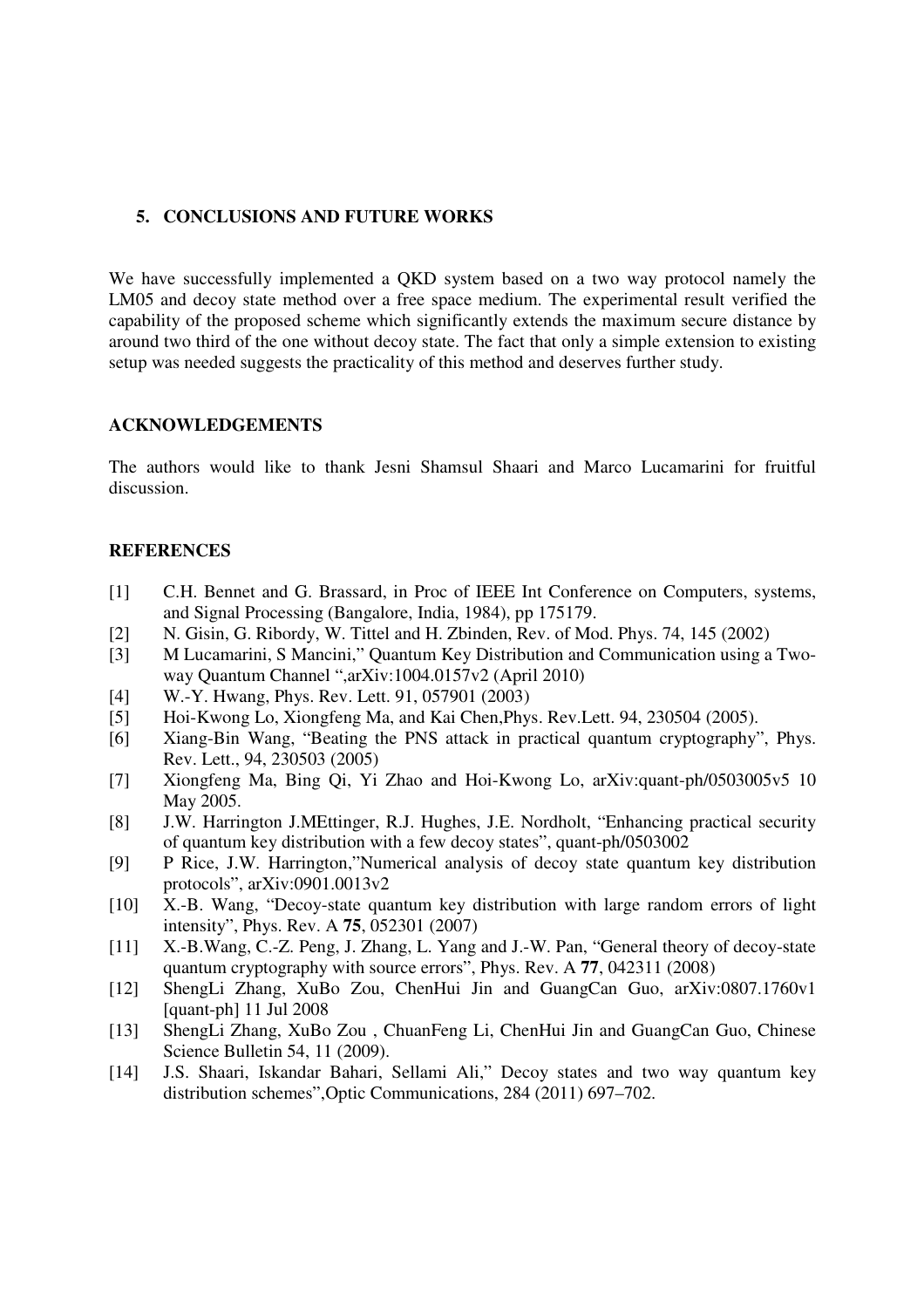# **5. CONCLUSIONS AND FUTURE WORKS**

We have successfully implemented a QKD system based on a two way protocol namely the LM05 and decoy state method over a free space medium. The experimental result verified the capability of the proposed scheme which significantly extends the maximum secure distance by around two third of the one without decoy state. The fact that only a simple extension to existing setup was needed suggests the practicality of this method and deserves further study.

#### **ACKNOWLEDGEMENTS**

The authors would like to thank Jesni Shamsul Shaari and Marco Lucamarini for fruitful discussion.

## **REFERENCES**

- [1] C.H. Bennet and G. Brassard, in Proc of IEEE Int Conference on Computers, systems, and Signal Processing (Bangalore, India, 1984), pp 175179.
- [2] N. Gisin, G. Ribordy, W. Tittel and H. Zbinden, Rev. of Mod. Phys. 74, 145 (2002)
- [3] M Lucamarini, S Mancini," Quantum Key Distribution and Communication using a Twoway Quantum Channel ",arXiv:1004.0157v2 (April 2010)
- [4] W.-Y. Hwang, Phys. Rev. Lett. 91, 057901 (2003)
- [5] Hoi-Kwong Lo, Xiongfeng Ma, and Kai Chen,Phys. Rev.Lett. 94, 230504 (2005).
- [6] Xiang-Bin Wang, "Beating the PNS attack in practical quantum cryptography", Phys. Rev. Lett., 94, 230503 (2005)
- [7] Xiongfeng Ma, Bing Qi, Yi Zhao and Hoi-Kwong Lo, arXiv:quant-ph/0503005v5 10 May 2005.
- [8] J.W. Harrington J.MEttinger, R.J. Hughes, J.E. Nordholt, "Enhancing practical security of quantum key distribution with a few decoy states", quant-ph/0503002
- [9] P Rice, J.W. Harrington,"Numerical analysis of decoy state quantum key distribution protocols", arXiv:0901.0013v2
- [10] X.-B. Wang, "Decoy-state quantum key distribution with large random errors of light intensity", Phys. Rev. A **75**, 052301 (2007)
- [11] X.-B.Wang, C.-Z. Peng, J. Zhang, L. Yang and J.-W. Pan, "General theory of decoy-state" quantum cryptography with source errors", Phys. Rev. A **77**, 042311 (2008)
- [12] ShengLi Zhang, XuBo Zou, ChenHui Jin and GuangCan Guo, arXiv:0807.1760v1 [quant-ph] 11 Jul 2008
- [13] ShengLi Zhang, XuBo Zou , ChuanFeng Li, ChenHui Jin and GuangCan Guo, Chinese Science Bulletin 54, 11 (2009).
- [14] J.S. Shaari, Iskandar Bahari, Sellami Ali," Decoy states and two way quantum key distribution schemes",Optic Communications, 284 (2011) 697–702.